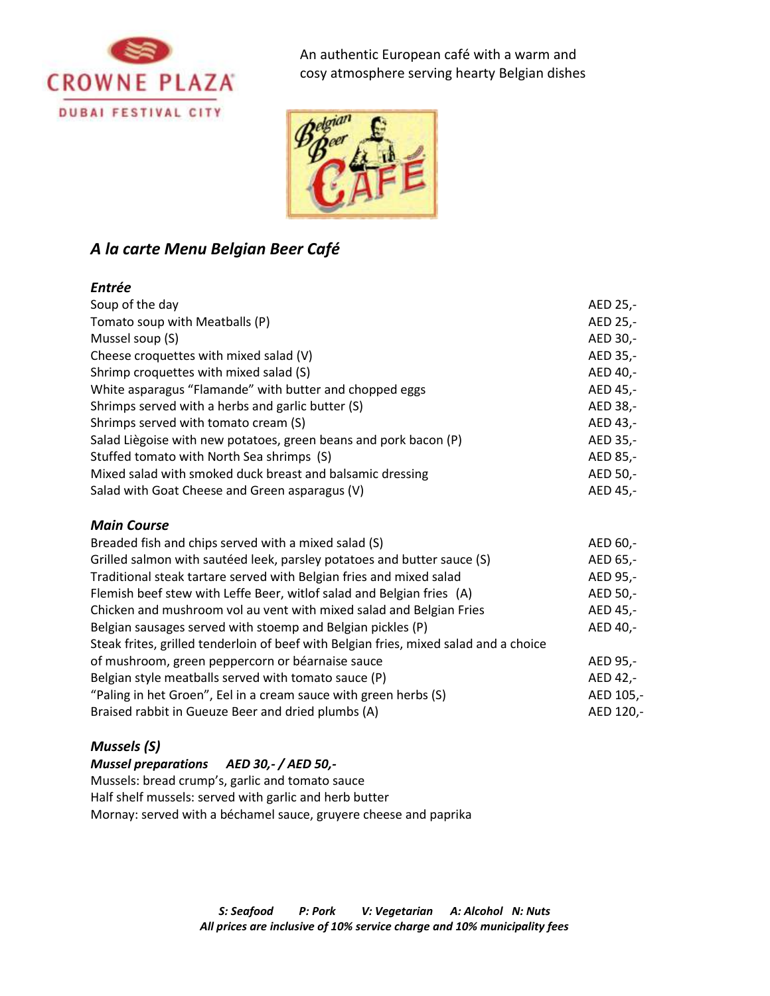



# *A la carte Menu Belgian Beer Café*

## *Entrée*

| Soup of the day                                                  | AED 25,- |
|------------------------------------------------------------------|----------|
| Tomato soup with Meatballs (P)                                   | AED 25,- |
| Mussel soup (S)                                                  | AED 30,- |
| Cheese croquettes with mixed salad (V)                           | AED 35,- |
| Shrimp croquettes with mixed salad (S)                           | AED 40,- |
| White asparagus "Flamande" with butter and chopped eggs          | AED 45,- |
| Shrimps served with a herbs and garlic butter (S)                | AED 38,- |
| Shrimps served with tomato cream (S)                             | AED 43,- |
| Salad Liègoise with new potatoes, green beans and pork bacon (P) | AED 35,- |
| Stuffed tomato with North Sea shrimps (S)                        | AED 85,- |
| Mixed salad with smoked duck breast and balsamic dressing        | AED 50,- |
| Salad with Goat Cheese and Green asparagus (V)                   | AED 45,- |

### *Main Course*

| Breaded fish and chips served with a mixed salad (S)                                  | AED 60,-  |
|---------------------------------------------------------------------------------------|-----------|
| Grilled salmon with sautéed leek, parsley potatoes and butter sauce (S)               | AED 65,-  |
| Traditional steak tartare served with Belgian fries and mixed salad                   | AED 95,-  |
| Flemish beef stew with Leffe Beer, witlof salad and Belgian fries (A)                 | AED 50,-  |
| Chicken and mushroom vol au vent with mixed salad and Belgian Fries                   | AED 45,-  |
| Belgian sausages served with stoemp and Belgian pickles (P)                           | AED 40,-  |
| Steak frites, grilled tenderloin of beef with Belgian fries, mixed salad and a choice |           |
| of mushroom, green peppercorn or béarnaise sauce                                      | AED 95,-  |
| Belgian style meatballs served with tomato sauce (P)                                  | AED 42,-  |
| "Paling in het Groen", Eel in a cream sauce with green herbs (S)                      | AED 105,- |
| Braised rabbit in Gueuze Beer and dried plumbs (A)                                    | AED 120,- |

# *Mussels (S)*

### *Mussel preparations AED 30,- / AED 50,-*

Mussels: bread crump's, garlic and tomato sauce Half shelf mussels: served with garlic and herb butter Mornay: served with a béchamel sauce, gruyere cheese and paprika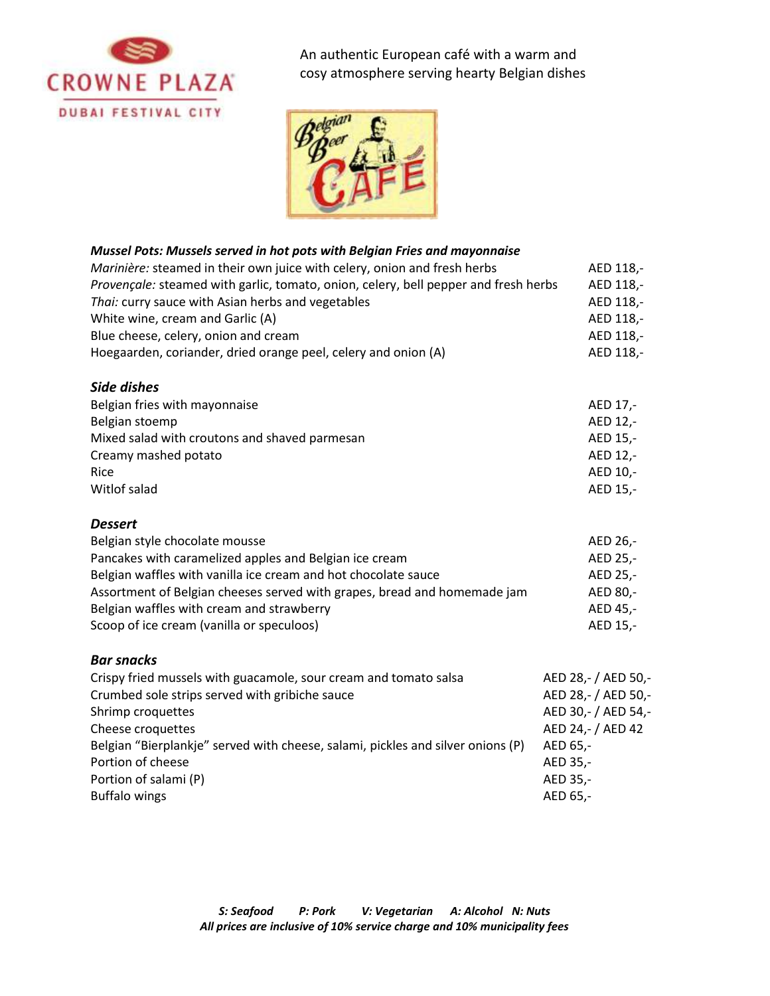



### *Mussel Pots: Mussels served in hot pots with Belgian Fries and mayonnaise*

| Marinière: steamed in their own juice with celery, onion and fresh herbs            | AED 118.- |
|-------------------------------------------------------------------------------------|-----------|
| Provençale: steamed with garlic, tomato, onion, celery, bell pepper and fresh herbs | AED 118.- |
| Thai: curry sauce with Asian herbs and vegetables                                   | AED 118.- |
| White wine, cream and Garlic (A)                                                    | AED 118.- |
| Blue cheese, celery, onion and cream                                                | AED 118.- |
| Hoegaarden, coriander, dried orange peel, celery and onion (A)                      | AED 118.- |

### *Side dishes*

| AED 17.- |
|----------|
| AED 12,- |
| AED 15.- |
| AED 12.- |
| AED 10.- |
| AED 15.- |
|          |

#### *Dessert*

| Belgian style chocolate mousse                                           | AED 26.- |
|--------------------------------------------------------------------------|----------|
| Pancakes with caramelized apples and Belgian ice cream                   | AED 25.- |
| Belgian waffles with vanilla ice cream and hot chocolate sauce           | AED 25.- |
| Assortment of Belgian cheeses served with grapes, bread and homemade jam | AED 80.- |
| Belgian waffles with cream and strawberry                                | AED 45.- |
| Scoop of ice cream (vanilla or speculoos)                                | AED 15.- |

### *Bar snacks*

| Crispy fried mussels with guacamole, sour cream and tomato salsa                | AED 28,- / AED 50,- |
|---------------------------------------------------------------------------------|---------------------|
| Crumbed sole strips served with gribiche sauce                                  | AED 28,- / AED 50,- |
| Shrimp croquettes                                                               | AED 30,- / AED 54,- |
| Cheese croquettes                                                               | AED 24,- / AED 42   |
| Belgian "Bierplankje" served with cheese, salami, pickles and silver onions (P) | AED 65,-            |
| Portion of cheese                                                               | AED 35,-            |
| Portion of salami (P)                                                           | AED 35,-            |
| <b>Buffalo wings</b>                                                            | AED 65,-            |
|                                                                                 |                     |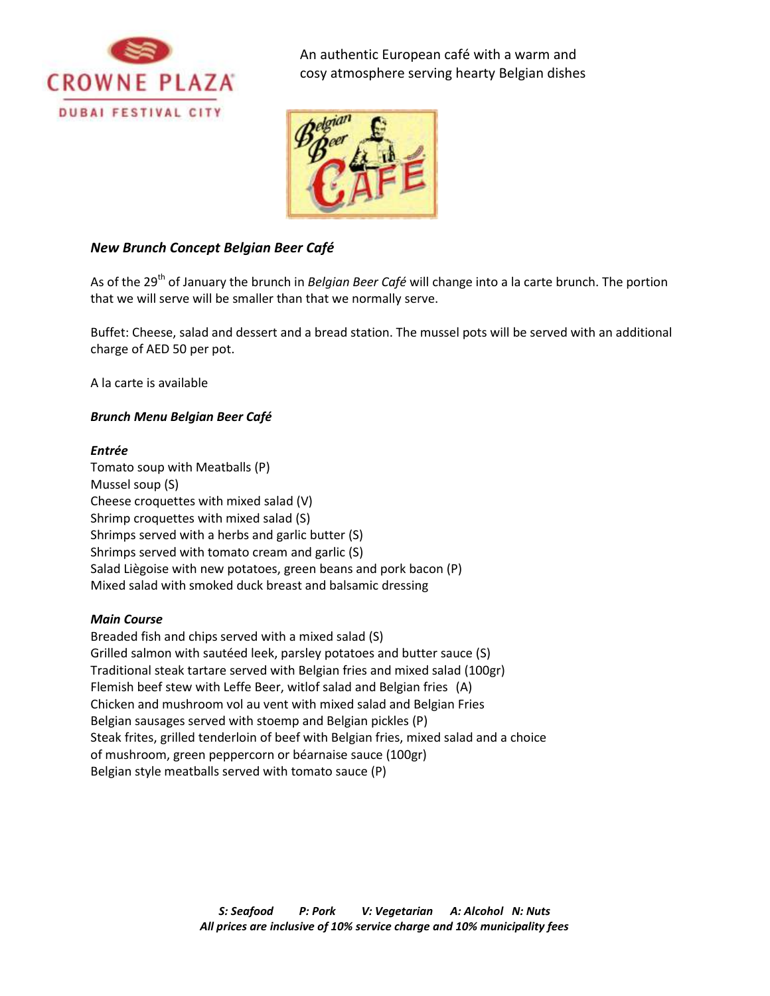



## *New Brunch Concept Belgian Beer Café*

As of the 29 th of January the brunch in *Belgian Beer Café* will change into a la carte brunch. The portion that we will serve will be smaller than that we normally serve.

Buffet: Cheese, salad and dessert and a bread station. The mussel pots will be served with an additional charge of AED 50 per pot.

A la carte is available

### *Brunch Menu Belgian Beer Café*

#### *Entrée*

Tomato soup with Meatballs (P) Mussel soup (S) Cheese croquettes with mixed salad (V) Shrimp croquettes with mixed salad (S) Shrimps served with a herbs and garlic butter (S) Shrimps served with tomato cream and garlic (S) Salad Liègoise with new potatoes, green beans and pork bacon (P) Mixed salad with smoked duck breast and balsamic dressing

### *Main Course*

Breaded fish and chips served with a mixed salad (S) Grilled salmon with sautéed leek, parsley potatoes and butter sauce (S) Traditional steak tartare served with Belgian fries and mixed salad (100gr) Flemish beef stew with Leffe Beer, witlof salad and Belgian fries (A) Chicken and mushroom vol au vent with mixed salad and Belgian Fries Belgian sausages served with stoemp and Belgian pickles (P) Steak frites, grilled tenderloin of beef with Belgian fries, mixed salad and a choice of mushroom, green peppercorn or béarnaise sauce (100gr) Belgian style meatballs served with tomato sauce (P)